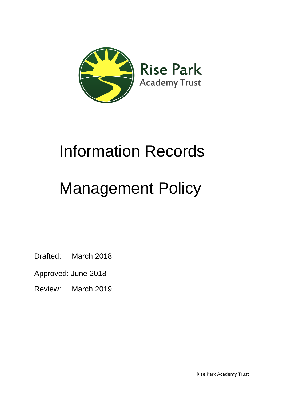

## Information Records

# Management Policy

Drafted: March 2018

Approved: June 2018

Review: March 2019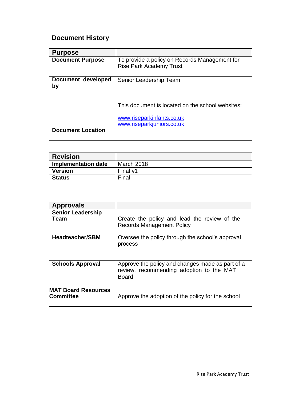## **Document History**

| <b>Purpose</b>           |                                                                                                            |
|--------------------------|------------------------------------------------------------------------------------------------------------|
| <b>Document Purpose</b>  | To provide a policy on Records Management for<br><b>Rise Park Academy Trust</b>                            |
| Document developed<br>by | Senior Leadership Team                                                                                     |
| <b>Document Location</b> | This document is located on the school websites:<br>www.riseparkinfants.co.uk<br>www.riseparkjuniors.co.uk |

| <b>Revision</b>     |            |
|---------------------|------------|
| Implementation date | March 2018 |
| <b>Version</b>      | Final v1   |
| <b>Status</b>       | Final      |

| <b>Approvals</b>                               |                                                                                                              |
|------------------------------------------------|--------------------------------------------------------------------------------------------------------------|
| <b>Senior Leadership</b><br>Team               | Create the policy and lead the review of the<br><b>Records Management Policy</b>                             |
| <b>Headteacher/SBM</b>                         | Oversee the policy through the school's approval<br>process                                                  |
| <b>Schools Approval</b>                        | Approve the policy and changes made as part of a<br>review, recommending adoption to the MAT<br><b>Board</b> |
| <b>MAT Board Resources</b><br><b>Committee</b> | Approve the adoption of the policy for the school                                                            |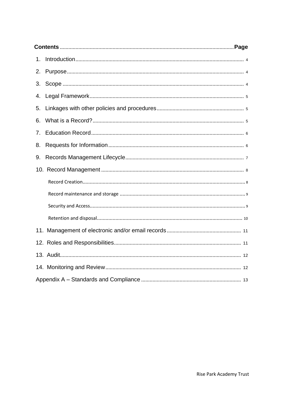| 1. |  |
|----|--|
| 2. |  |
| 3. |  |
| 4. |  |
| 5. |  |
| 6. |  |
| 7. |  |
| 8. |  |
| 9. |  |
|    |  |
|    |  |
|    |  |
|    |  |
|    |  |
|    |  |
|    |  |
|    |  |
|    |  |
|    |  |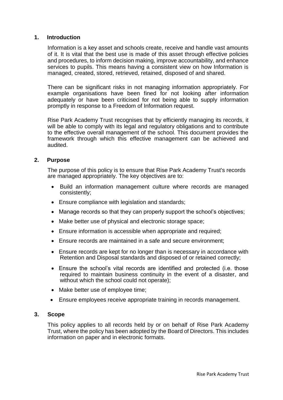#### <span id="page-3-0"></span>**1. Introduction**

Information is a key asset and schools create, receive and handle vast amounts of it. It is vital that the best use is made of this asset through effective policies and procedures, to inform decision making, improve accountability, and enhance services to pupils. This means having a consistent view on how Information is managed, created, stored, retrieved, retained, disposed of and shared.

There can be significant risks in not managing information appropriately. For example organisations have been fined for not looking after information adequately or have been criticised for not being able to supply information promptly in response to a Freedom of Information request.

Rise Park Academy Trust recognises that by efficiently managing its records, it will be able to comply with its legal and regulatory obligations and to contribute to the effective overall management of the school. This document provides the framework through which this effective management can be achieved and audited.

#### **2. Purpose**

The purpose of this policy is to ensure that Rise Park Academy Trust's records are managed appropriately. The key objectives are to:

- Build an information management culture where records are managed consistently;
- Ensure compliance with legislation and standards;
- Manage records so that they can properly support the school's objectives;
- Make better use of physical and electronic storage space;
- Ensure information is accessible when appropriate and required;
- Ensure records are maintained in a safe and secure environment;
- Ensure records are kept for no longer than is necessary in accordance with Retention and Disposal standards and disposed of or retained correctly;
- Ensure the school's vital records are identified and protected (i.e. those required to maintain business continuity in the event of a disaster, and without which the school could not operate);
- Make better use of employee time;
- Ensure employees receive appropriate training in records management.

#### **3. Scope**

This policy applies to all records held by or on behalf of Rise Park Academy Trust, where the policy has been adopted by the Board of Directors. This includes information on paper and in electronic formats.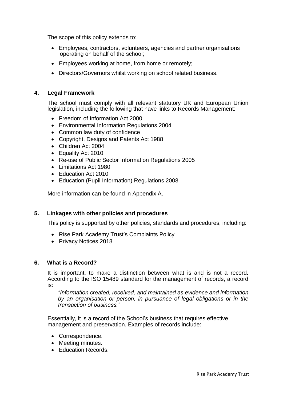<span id="page-4-0"></span>The scope of this policy extends to:

- Employees, contractors, volunteers, agencies and partner organisations operating on behalf of the school;
- Employees working at home, from home or remotely;
- Directors/Governors whilst working on school related business.

#### **4. Legal Framework**

The school must comply with all relevant statutory UK and European Union legislation, including the following that have links to Records Management:

- Freedom of Information Act 2000
- Environmental Information Regulations 2004
- Common law duty of confidence
- Copyright, Designs and Patents Act 1988
- Children Act 2004
- Equality Act 2010
- Re-use of Public Sector Information Regulations 2005
- Limitations Act 1980
- Education Act 2010
- Education (Pupil Information) Regulations 2008

More information can be found in Appendix A.

#### **5. Linkages with other policies and procedures**

This policy is supported by other policies, standards and procedures, including:

- Rise Park Academy Trust's Complaints Policy
- Privacy Notices 2018

#### **6. What is a Record?**

It is important, to make a distinction between what is and is not a record. According to the ISO 15489 standard for the management of records, a record is:

*"Information created, received, and maintained as evidence and information by an organisation or person, in pursuance of legal obligations or in the transaction of business."*

Essentially, it is a record of the School's business that requires effective management and preservation. Examples of records include:

- <span id="page-4-1"></span>• Correspondence.
- Meeting minutes.
- Education Records.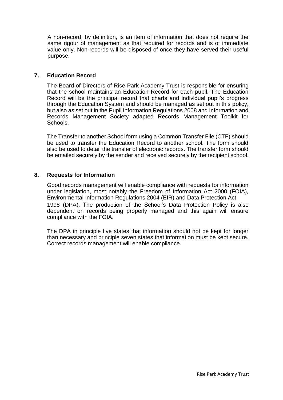A non-record, by definition, is an item of information that does not require the same rigour of management as that required for records and is of immediate value only. Non-records will be disposed of once they have served their useful purpose.

#### **7. Education Record**

The Board of Directors of Rise Park Academy Trust is responsible for ensuring that the school maintains an Education Record for each pupil. The Education Record will be the principal record that charts and individual pupil's progress through the Education System and should be managed as set out in this policy, but also as set out in the Pupil Information Regulations 2008 and Information and Records Management Society adapted Records Management Toolkit for Schools.

The Transfer to another School form using a Common Transfer File (CTF) should be used to transfer the Education Record to another school. The form should also be used to detail the transfer of electronic records. The transfer form should be emailed securely by the sender and received securely by the recipient school.

#### **8. Requests for Information**

Good records management will enable compliance with requests for information under legislation, most notably the Freedom of Information Act 2000 (FOIA), Environmental Information Regulations 2004 (EIR) and Data Protection Act 1998 (DPA). The production of the School's Data Protection Policy is also dependent on records being properly managed and this again will ensure compliance with the FOIA.

The DPA in principle five states that information should not be kept for longer than necessary and principle seven states that information must be kept secure. Correct records management will enable compliance.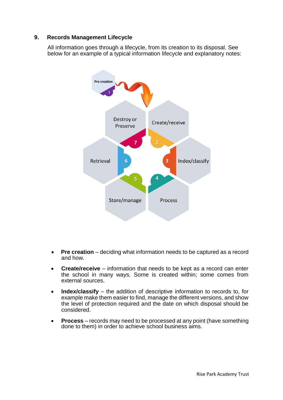#### <span id="page-6-0"></span>**9. Records Management Lifecycle**

All information goes through a lifecycle, from its creation to its disposal. See below for an example of a typical information lifecycle and explanatory notes:



- **Pre creation** deciding what information needs to be captured as a record and how.
- **Create/receive** information that needs to be kept as a record can enter the school in many ways. Some is created within; some comes from external sources.
- Index/classify the addition of descriptive information to records to, for example make them easier to find, manage the different versions, and show the level of protection required and the date on which disposal should be considered.
- **Process**  records may need to be processed at any point (have something done to them) in order to achieve school business aims.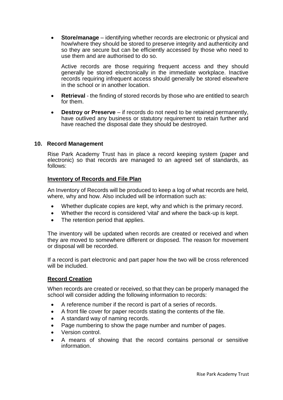<span id="page-7-0"></span>**Store/manage** – identifying whether records are electronic or physical and how/where they should be stored to preserve integrity and authenticity and so they are secure but can be efficiently accessed by those who need to use them and are authorised to do so.

Active records are those requiring frequent access and they should generally be stored electronically in the immediate workplace. Inactive records requiring infrequent access should generally be stored elsewhere in the school or in another location.

- **Retrieval**  the finding of stored records by those who are entitled to search for them.
- **Destroy or Preserve** if records do not need to be retained permanently, have outlived any business or statutory requirement to retain further and have reached the disposal date they should be destroyed.

#### **10. Record Management**

Rise Park Academy Trust has in place a record keeping system (paper and electronic) so that records are managed to an agreed set of standards, as follows:

#### **Inventory of Records and File Plan**

An Inventory of Records will be produced to keep a log of what records are held, where, why and how. Also included will be information such as:

- Whether duplicate copies are kept, why and which is the primary record.
- Whether the record is considered 'vital' and where the back-up is kept.
- The retention period that applies.

The inventory will be updated when records are created or received and when they are moved to somewhere different or disposed. The reason for movement or disposal will be recorded.

If a record is part electronic and part paper how the two will be cross referenced will be included.

#### **Record Creation**

When records are created or received, so that they can be properly managed the school will consider adding the following information to records:

- A reference number if the record is part of a series of records.
- A front file cover for paper records stating the contents of the file.
- A standard way of naming records.
- Page numbering to show the page number and number of pages.
- Version control.
- A means of showing that the record contains personal or sensitive information.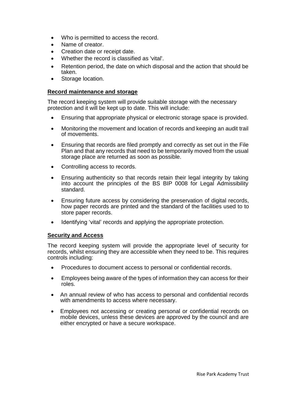- <span id="page-8-0"></span>Who is permitted to access the record.
- Name of creator.
- Creation date or receipt date.
- Whether the record is classified as 'vital'.
- Retention period, the date on which disposal and the action that should be taken.
- Storage location.

#### **Record maintenance and storage**

The record keeping system will provide suitable storage with the necessary protection and it will be kept up to date. This will include:

- Ensuring that appropriate physical or electronic storage space is provided.
- Monitoring the movement and location of records and keeping an audit trail of movements.
- Ensuring that records are filed promptly and correctly as set out in the File Plan and that any records that need to be temporarily moved from the usual storage place are returned as soon as possible.
- Controlling access to records.
- Ensuring authenticity so that records retain their legal integrity by taking into account the principles of the BS BIP 0008 for Legal Admissibility standard.
- Ensuring future access by considering the preservation of digital records, how paper records are printed and the standard of the facilities used to to store paper records.
- Identifying 'vital' records and applying the appropriate protection.

#### **Security and Access**

The record keeping system will provide the appropriate level of security for records, whilst ensuring they are accessible when they need to be. This requires controls including:

- Procedures to document access to personal or confidential records.
- Employees being aware of the types of information they can access for their roles.
- An annual review of who has access to personal and confidential records with amendments to access where necessary.
- Employees not accessing or creating personal or confidential records on mobile devices, unless these devices are approved by the council and are either encrypted or have a secure workspace.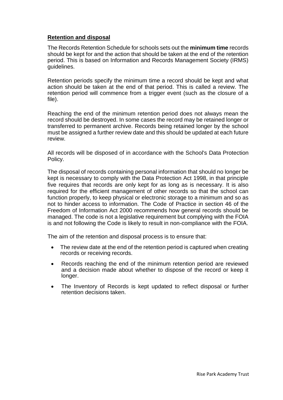#### <span id="page-9-0"></span>**Retention and disposal**

The Records Retention Schedule for schools sets out the **minimum time** records should be kept for and the action that should be taken at the end of the retention period. This is based on Information and Records Management Society (IRMS) guidelines.

Retention periods specify the minimum time a record should be kept and what action should be taken at the end of that period. This is called a review. The retention period will commence from a trigger event (such as the closure of a file).

Reaching the end of the minimum retention period does not always mean the record should be destroyed. In some cases the record may be retained longer or transferred to permanent archive. Records being retained longer by the school must be assigned a further review date and this should be updated at each future review.

All records will be disposed of in accordance with the School's Data Protection Policy.

The disposal of records containing personal information that should no longer be kept is necessary to comply with the Data Protection Act 1998, in that principle five requires that records are only kept for as long as is necessary. It is also required for the efficient management of other records so that the school can function properly, to keep physical or electronic storage to a minimum and so as not to hinder access to information. The Code of Practice in section 46 of the Freedom of Information Act 2000 recommends how general records should be managed. The code is not a legislative requirement but complying with the FOIA is and not following the Code is likely to result in non-compliance with the FOIA.

The aim of the retention and disposal process is to ensure that:

- The review date at the end of the retention period is captured when creating records or receiving records.
- Records reaching the end of the minimum retention period are reviewed and a decision made about whether to dispose of the record or keep it longer.
- The Inventory of Records is kept updated to reflect disposal or further retention decisions taken.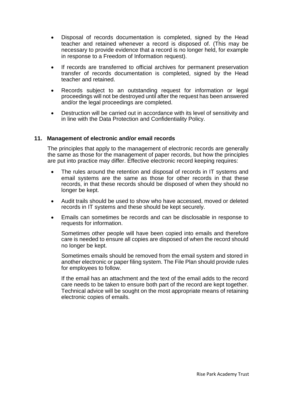- <span id="page-10-0"></span> Disposal of records documentation is completed, signed by the Head teacher and retained whenever a record is disposed of. (This may be necessary to provide evidence that a record is no longer held, for example in response to a Freedom of Information request).
- If records are transferred to official archives for permanent preservation transfer of records documentation is completed, signed by the Head teacher and retained.
- Records subject to an outstanding request for information or legal proceedings will not be destroyed until after the request has been answered and/or the legal proceedings are completed.
- Destruction will be carried out in accordance with its level of sensitivity and in line with the Data Protection and Confidentiality Policy.

#### **11. Management of electronic and/or email records**

The principles that apply to the management of electronic records are generally the same as those for the management of paper records, but how the principles are put into practice may differ. Effective electronic record keeping requires:

- The rules around the retention and disposal of records in IT systems and email systems are the same as those for other records in that these records, in that these records should be disposed of when they should no longer be kept.
- Audit trails should be used to show who have accessed, moved or deleted records in IT systems and these should be kept securely.
- Emails can sometimes be records and can be disclosable in response to requests for information.

Sometimes other people will have been copied into emails and therefore care is needed to ensure all copies are disposed of when the record should no longer be kept.

Sometimes emails should be removed from the email system and stored in another electronic or paper filing system. The File Plan should provide rules for employees to follow.

If the email has an attachment and the text of the email adds to the record care needs to be taken to ensure both part of the record are kept together. Technical advice will be sought on the most appropriate means of retaining electronic copies of emails.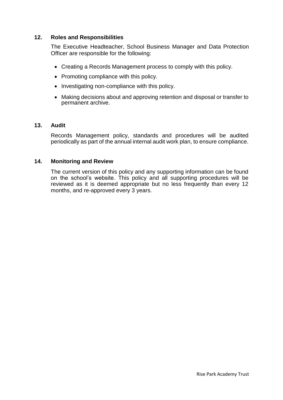#### **12. Roles and Responsibilities**

The Executive Headteacher, School Business Manager and Data Protection Officer are responsible for the following:

- <span id="page-11-0"></span>Creating a Records Management process to comply with this policy.
- Promoting compliance with this policy.
- Investigating non-compliance with this policy.
- Making decisions about and approving retention and disposal or transfer to permanent archive.

#### **13. Audit**

Records Management policy, standards and procedures will be audited periodically as part of the annual internal audit work plan, to ensure compliance.

#### **14. Monitoring and Review**

The current version of this policy and any supporting information can be found on the school's website. This policy and all supporting procedures will be reviewed as it is deemed appropriate but no less frequently than every 12 months, and re-approved every 3 years.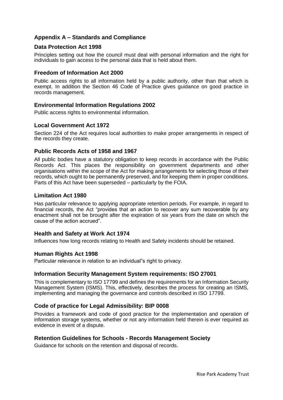#### <span id="page-12-0"></span>**Appendix A – Standards and Compliance**

#### **Data Protection Act 1998**

Principles setting out how the council must deal with personal information and the right for individuals to gain access to the personal data that is held about them.

#### **Freedom of Information Act 2000**

Public access rights to all information held by a public authority, other than that which is exempt. In addition the Section 46 Code of Practice gives guidance on good practice in records management.

#### **Environmental Information Regulations 2002**

Public access rights to environmental information.

#### **Local Government Act 1972**

Section 224 of the Act requires local authorities to make proper arrangements in respect of the records they create.

#### **Public Records Acts of 1958 and 1967**

All public bodies have a statutory obligation to keep records in accordance with the Public Records Act. This places the responsibility on government departments and other organisations within the scope of the Act for making arrangements for selecting those of their records, which ought to be permanently preserved, and for keeping them in proper conditions. Parts of this Act have been superseded – particularly by the FOIA.

#### **Limitation Act 1980**

Has particular relevance to applying appropriate retention periods. For example, in regard to financial records, the Act "provides that an action to recover any sum recoverable by any enactment shall not be brought after the expiration of six years from the date on which the cause of the action accrued".

#### **Health and Safety at Work Act 1974**

Influences how long records relating to Health and Safety incidents should be retained.

#### **Human Rights Act 1998**

Particular relevance in relation to an individual"s right to privacy.

#### **Information Security Management System requirements: ISO 27001**

This is complementary to ISO 17799 and defines the requirements for an Information Security Management System (ISMS). This, effectively, describes the process for creating an ISMS, implementing and managing the governance and controls described in ISO 17799.

#### **Code of practice for Legal Admissibility: BIP 0008**

Provides a framework and code of good practice for the implementation and operation of information storage systems, whether or not any information held therein is ever required as evidence in event of a dispute.

#### **Retention Guidelines for Schools - Records Management Society**

Guidance for schools on the retention and disposal of records.